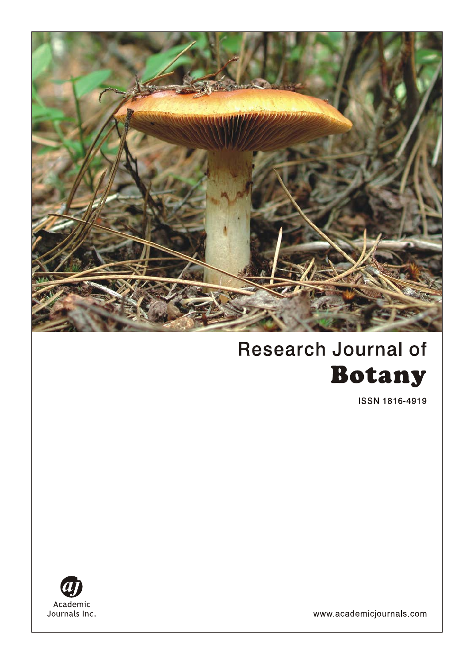

# **Research Journal of Botany**

**ISSN 1816-4919** 



www.academicjournals.com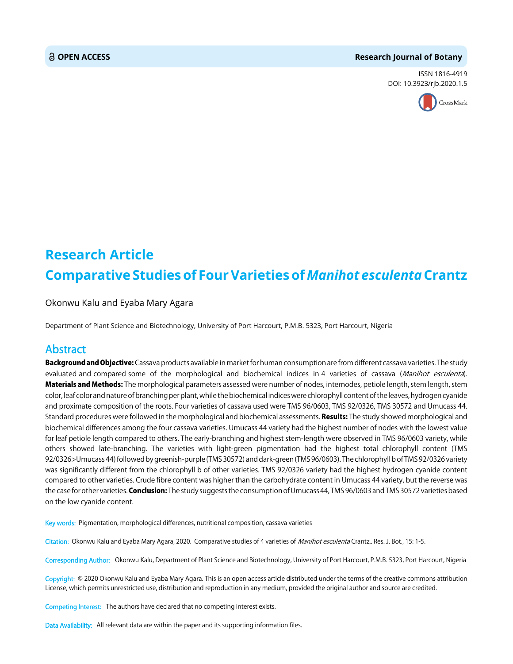#### **OPEN ACCESS Research Journal of Botany**

ISSN 1816-4919 DOI: 10.3923/rjb.2020.1.5



## **Research Article Comparative Studies of Four Varieties of** *Manihot esculenta* **Crantz**

Okonwu Kalu and Eyaba Mary Agara

Department of Plant Science and Biotechnology, University of Port Harcourt, P.M.B. 5323, Port Harcourt, Nigeria

### Abstract

Background and Objective: Cassava products available in market for human consumption are from different cassava varieties. The study evaluated and compared some of the morphological and biochemical indices in 4 varieties of cassava (Manihot esculenta). Materials and Methods: The morphological parameters assessed were number of nodes, internodes, petiole length, stem length, stem color, leaf color and nature of branching per plant, while the biochemical indices were chlorophyll content of the leaves, hydrogen cyanide and proximate composition of the roots. Four varieties of cassava used were TMS 96/0603, TMS 92/0326, TMS 30572 and Umucass 44. Standard procedures were followed in the morphological and biochemical assessments. Results: The study showed morphological and biochemical differences among the four cassava varieties. Umucass 44 variety had the highest number of nodes with the lowest value for leaf petiole length compared to others. The early-branching and highest stem-length were observed in TMS 96/0603 variety, while others showed late-branching. The varieties with light-green pigmentation had the highest total chlorophyll content (TMS 92/0326>Umucass 44) followed by greenish-purple (TMS 30572) and dark-green (TMS 96/0603). The chlorophyll b of TMS 92/0326 variety was significantly different from the chlorophyll b of other varieties. TMS 92/0326 variety had the highest hydrogen cyanide content compared to other varieties. Crude fibre content was higher than the carbohydrate content in Umucass 44 variety, but the reverse was the case for other varieties. Conclusion: The study suggests the consumption of Umucass 44, TMS 96/0603 and TMS 30572 varieties based on the low cyanide content.

Key words: Pigmentation, morphological differences, nutritional composition, cassava varieties

Citation: Okonwu Kalu and Eyaba Mary Agara, 2020. Comparative studies of 4 varieties of Manihot esculenta Crantz, Res. J. Bot., 15: 1-5.

Corresponding Author: Okonwu Kalu, Department of Plant Science and Biotechnology, University of Port Harcourt, P.M.B. 5323, Port Harcourt, Nigeria

Copyright: © 2020 Okonwu Kalu and Eyaba Mary Agara. This is an open access article distributed under the terms of the creative commons attribution License, which permits unrestricted use, distribution and reproduction in any medium, provided the original author and source are credited.

Competing Interest: The authors have declared that no competing interest exists.

Data Availability: All relevant data are within the paper and its supporting information files.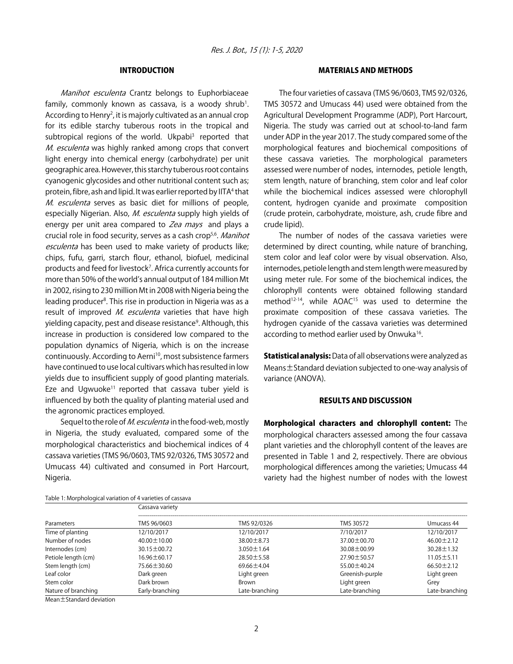#### INTRODUCTION

Manihot esculenta Crantz belongs to Euphorbiaceae family, commonly known as cassava, is a woody shrub<sup>1</sup>. According to Henry<sup>2</sup>, it is majorly cultivated as an annual crop for its edible starchy tuberous roots in the tropical and subtropical regions of the world. Ukpabi<sup>3</sup> reported that M. esculenta was highly ranked among crops that convert light energy into chemical energy (carbohydrate) per unit geographic area. However, this starchy tuberous root contains cyanogenic glycosides and other nutritional content such as; protein, fibre, ash and lipid. It was earlier reported by IITA<sup>4</sup> that M. esculenta serves as basic diet for millions of people, especially Nigerian. Also, *M. esculenta* supply high yields of energy per unit area compared to Zea mays and plays a crucial role in food security, serves as a cash crop<sup>5,6</sup>. Manihot esculenta has been used to make variety of products like; chips, fufu, garri, starch flour, ethanol, biofuel, medicinal products and feed for livestock<sup>7</sup>. Africa currently accounts for more than 50% of the world's annual output of 184 million Mt in 2002, rising to 230 million Mt in 2008 with Nigeria being the leading producer<sup>8</sup>. This rise in production in Nigeria was as a result of improved M. esculenta varieties that have high yielding capacity, pest and disease resistance<sup>9</sup>. Although, this increase in production is considered low compared to the population dynamics of Nigeria, which is on the increase continuously. According to Aerni<sup>10</sup>, most subsistence farmers have continued to use local cultivars which has resulted in low yields due to insufficient supply of good planting materials. Eze and Ugwuoke<sup>11</sup> reported that cassava tuber yield is influenced by both the quality of planting material used and the agronomic practices employed.

Sequel to the role of *M. esculenta* in the food-web, mostly in Nigeria, the study evaluated, compared some of the morphological characteristics and biochemical indices of 4 cassava varieties (TMS 96/0603, TMS 92/0326, TMS 30572 and Umucass 44) cultivated and consumed in Port Harcourt, Nigeria.

Table 1: Morphological variation of 4 varieties of cassava

#### MATERIALS AND METHODS

The four varieties of cassava (TMS 96/0603, TMS 92/0326, TMS 30572 and Umucass 44) used were obtained from the Agricultural Development Programme (ADP), Port Harcourt, Nigeria. The study was carried out at school-to-land farm under ADP in the year 2017. The study compared some of the morphological features and biochemical compositions of these cassava varieties. The morphological parameters assessed were number of nodes, internodes, petiole length, stem length, nature of branching, stem color and leaf color while the biochemical indices assessed were chlorophyll content, hydrogen cyanide and proximate composition (crude protein, carbohydrate, moisture, ash, crude fibre and crude lipid).

The number of nodes of the cassava varieties were determined by direct counting, while nature of branching, stem color and leaf color were by visual observation. Also, internodes, petiole length and stem length were measured by using meter rule. For some of the biochemical indices, the chlorophyll contents were obtained following standard method<sup>12-14</sup>, while AOAC<sup>15</sup> was used to determine the proximate composition of these cassava varieties. The hydrogen cyanide of the cassava varieties was determined according to method earlier used by Onwuka<sup>16</sup>.

Statistical analysis: Data of all observations were analyzed as Means±Standard deviation subjected to one-way analysis of variance (ANOVA).

#### RESULTS AND DISCUSSION

Morphological characters and chlorophyll content: The morphological characters assessed among the four cassava plant varieties and the chlorophyll content of the leaves are presented in Table 1 and 2, respectively. There are obvious morphological differences among the varieties; Umucass 44 variety had the highest number of nodes with the lowest

| Parameters          | Cassava variety   |                  |                   |                  |  |  |
|---------------------|-------------------|------------------|-------------------|------------------|--|--|
|                     | TMS 96/0603       | TMS 92/0326      | TMS 30572         | Umucass 44       |  |  |
| Time of planting    | 12/10/2017        | 12/10/2017       | 7/10/2017         | 12/10/2017       |  |  |
| Number of nodes     | $40.00 \pm 10.00$ | $38.00 \pm 8.73$ | $37.00 \pm 00.70$ | $46.00 \pm 2.12$ |  |  |
| Internodes (cm)     | $30.15 \pm 00.72$ | $3.050 \pm 1.64$ | $30.08 \pm 00.99$ | $30.28 \pm 1.32$ |  |  |
| Petiole length (cm) | $16.96 \pm 60.17$ | $28.50 \pm 5.58$ | 27.90 ± 50.57     | $11.05 \pm 5.11$ |  |  |
| Stem length (cm)    | $75.66 \pm 30.60$ | $69.66 \pm 4.04$ | $55.00 \pm 40.24$ | $66.50 \pm 2.12$ |  |  |
| Leaf color          | Dark green        | Light green      | Greenish-purple   | Light green      |  |  |
| Stem color          | Dark brown        | Brown            | Light green       | Grey             |  |  |
| Nature of branching | Early-branching   | Late-branching   | Late-branching    | Late-branching   |  |  |

Mean±Standard deviation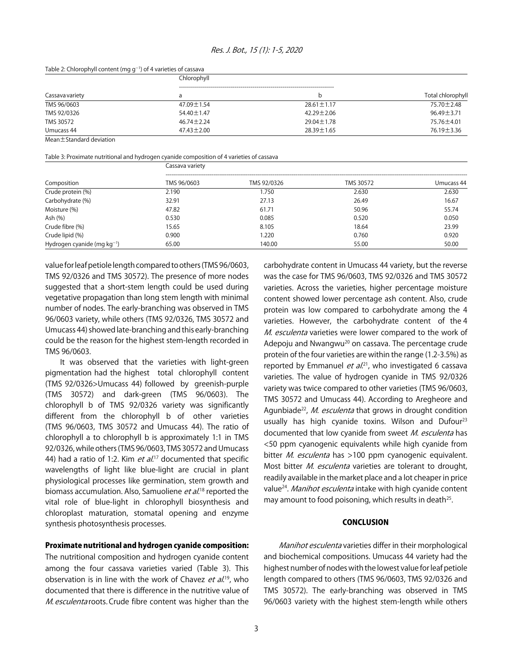#### Table 2: Chlorophyll content (mg  $g^{-1}$ ) of 4 varieties of cassava

| Cassava variety | Chlorophyll      |                  |                   |  |  |
|-----------------|------------------|------------------|-------------------|--|--|
|                 |                  | b                | Total chlorophyll |  |  |
| TMS 96/0603     | 47.09±1.54       | $28.61 \pm 1.17$ | 75.70 ± 2.48      |  |  |
| TMS 92/0326     | 54.40±1.47       | $42.29 \pm 2.06$ | $96.49 \pm 3.71$  |  |  |
| TMS 30572       | $46.74 \pm 2.24$ | $29.04 \pm 1.78$ | 75.76 ±4.01       |  |  |
| Umucass 44      | $47.43 \pm 2.00$ | $28.39 \pm 1.65$ | 76.19 ± 3.36      |  |  |

Mean±Standard deviation

#### Table 3: Proximate nutritional and hydrogen cyanide composition of 4 varieties of cassava

|                                  | Cassava variety |             |           |            |  |
|----------------------------------|-----------------|-------------|-----------|------------|--|
| Composition                      | TMS 96/0603     | TMS 92/0326 | TMS 30572 | Umucass 44 |  |
| Crude protein (%)                | 2.190           | .750        | 2.630     | 2.630      |  |
| Carbohydrate (%)                 | 32.91           | 27.13       | 26.49     | 16.67      |  |
| Moisture (%)                     | 47.82           | 61.71       | 50.96     | 55.74      |  |
| Ash (%)                          | 0.530           | 0.085       | 0.520     | 0.050      |  |
| Crude fibre (%)                  | 15.65           | 8.105       | 18.64     | 23.99      |  |
| Crude lipid (%)                  | 0.900           | 1.220       | 0.760     | 0.920      |  |
| Hydrogen cyanide (mg $kg^{-1}$ ) | 65.00           | 140.00      | 55.00     | 50.00      |  |

value for leaf petiole length compared to others (TMS 96/0603, TMS 92/0326 and TMS 30572). The presence of more nodes suggested that a short-stem length could be used during vegetative propagation than long stem length with minimal number of nodes. The early-branching was observed in TMS 96/0603 variety, while others (TMS 92/0326, TMS 30572 and Umucass 44) showed late-branching and this early-branching could be the reason for the highest stem-length recorded in TMS 96/0603.

It was observed that the varieties with light-green pigmentation had the highest total chlorophyll content (TMS 92/0326>Umucass 44) followed by greenish-purple (TMS 30572) and dark-green (TMS 96/0603). The chlorophyll b of TMS 92/0326 variety was significantly different from the chlorophyll b of other varieties (TMS 96/0603, TMS 30572 and Umucass 44). The ratio of chlorophyll a to chlorophyll b is approximately 1:1 in TMS 92/0326, while others (TMS 96/0603, TMS 30572 and Umucass 44) had a ratio of 1:2. Kim et  $al^{17}$  documented that specific wavelengths of light like blue-light are crucial in plant physiological processes like germination, stem growth and biomass accumulation. Also, Samuoliene et al.<sup>18</sup> reported the vital role of blue-light in chlorophyll biosynthesis and chloroplast maturation, stomatal opening and enzyme synthesis photosynthesis processes.

#### Proximate nutritional and hydrogen cyanide composition:

The nutritional composition and hydrogen cyanide content among the four cassava varieties varied (Table 3). This observation is in line with the work of Chavez *et al.*<sup>19</sup>, who documented that there is difference in the nutritive value of M. esculenta roots. Crude fibre content was higher than the

carbohydrate content in Umucass 44 variety, but the reverse was the case for TMS 96/0603, TMS 92/0326 and TMS 30572 varieties. Across the varieties, higher percentage moisture content showed lower percentage ash content. Also, crude protein was low compared to carbohydrate among the 4 varieties. However, the carbohydrate content of the 4 M. esculenta varieties were lower compared to the work of Adepoju and Nwangwu<sup>20</sup> on cassava. The percentage crude protein of the four varieties are within the range (1.2-3.5%) as reported by Emmanuel et  $al^{21}$ , who investigated 6 cassava varieties. The value of hydrogen cyanide in TMS 92/0326 variety was twice compared to other varieties (TMS 96/0603, TMS 30572 and Umucass 44). According to Aregheore and Agunbiade<sup>22</sup>, *M. esculenta* that grows in drought condition usually has high cyanide toxins. Wilson and Dufour<sup>23</sup> documented that low cyanide from sweet M. esculenta has <50 ppm cyanogenic equivalents while high cyanide from bitter *M. esculenta* has >100 ppm cyanogenic equivalent. Most bitter *M. esculenta* varieties are tolerant to drought, readily available in the market place and a lot cheaper in price value<sup>24</sup>. Manihot esculenta intake with high cyanide content may amount to food poisoning, which results in death<sup>25</sup>.

#### **CONCLUSION**

Manihot esculenta varieties differ in their morphological and biochemical compositions. Umucass 44 variety had the highest number of nodes with the lowest value for leaf petiole length compared to others (TMS 96/0603, TMS 92/0326 and TMS 30572). The early-branching was observed in TMS 96/0603 variety with the highest stem-length while others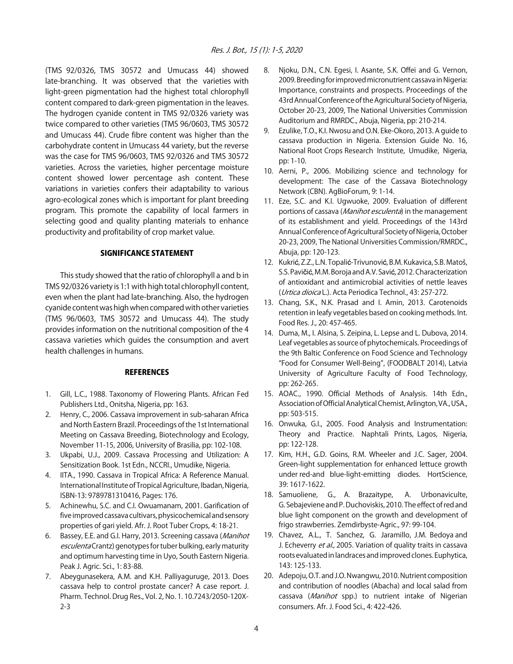(TMS 92/0326, TMS 30572 and Umucass 44) showed late-branching. It was observed that the varieties with light-green pigmentation had the highest total chlorophyll content compared to dark-green pigmentation in the leaves. The hydrogen cyanide content in TMS 92/0326 variety was twice compared to other varieties (TMS 96/0603, TMS 30572 and Umucass 44). Crude fibre content was higher than the carbohydrate content in Umucass 44 variety, but the reverse was the case for TMS 96/0603, TMS 92/0326 and TMS 30572 varieties. Across the varieties, higher percentage moisture content showed lower percentage ash content. These variations in varieties confers their adaptability to various agro-ecological zones which is important for plant breeding program. This promote the capability of local farmers in selecting good and quality planting materials to enhance productivity and profitability of crop market value.

#### SIGNIFICANCE STATEMENT

This study showed that the ratio of chlorophyll a and b in TMS 92/0326 variety is 1:1 with high total chlorophyll content, even when the plant had late-branching. Also, the hydrogen cyanide content was high when compared with other varieties (TMS 96/0603, TMS 30572 and Umucass 44). The study provides information on the nutritional composition of the 4 cassava varieties which guides the consumption and avert health challenges in humans.

#### **REFERENCES**

- 1. Gill, L.C., 1988. Taxonomy of Flowering Plants. African Fed Publishers Ltd., Onitsha, Nigeria, pp: 163.
- 2. Henry, C., 2006. Cassava improvement in sub-saharan Africa and North Eastern Brazil. Proceedings of the 1st International Meeting on Cassava Breeding, Biotechnology and Ecology, November 11-15, 2006, University of Brasilia, pp: 102-108.
- 3. Ukpabi, U.J., 2009. Cassava Processing and Utilization: A Sensitization Book. 1st Edn., NCCRI., Umudike, Nigeria.
- 4. IITA., 1990. Cassava in Tropical Africa: A Reference Manual. International Institute of Tropical Agriculture, Ibadan, Nigeria, ISBN-13: 9789781310416, Pages: 176.
- 5. Achinewhu, S.C. and C.I. Owuamanam, 2001. Garification of five improved cassava cultivars, physicochemical and sensory properties of gari yield. Afr. J. Root Tuber Crops, 4: 18-21.
- 6. Bassey, E.E. and G.I. Harry, 2013. Screening cassava (Manihot esculenta Crantz) genotypes for tuber bulking, early maturity and optimum harvesting time in Uyo, South Eastern Nigeria. Peak J. Agric. Sci., 1: 83-88.
- 7. Abeygunasekera, A.M. and K.H. Palliyaguruge, 2013. Does cassava help to control prostate cancer? A case report. J. Pharm. Technol. Drug Res., Vol. 2, No. 1. 10.7243/2050-120X-2-3
- 8. Njoku, D.N., C.N. Egesi, I. Asante, S.K. Offei and G. Vernon, 2009. Breeding for improved micronutrient cassava in Nigeria: Importance, constraints and prospects. Proceedings of the 43rd Annual Conference of the Agricultural Society of Nigeria, October 20-23, 2009, The National Universities Commission Auditorium and RMRDC., Abuja, Nigeria, pp: 210-214.
- 9. Ezulike, T.O., K.I. Nwosu and O.N. Eke-Okoro, 2013. A guide to cassava production in Nigeria. Extension Guide No. 16, National Root Crops Research Institute, Umudike, Nigeria, pp: 1-10.
- 10. Aerni, P., 2006. Mobilizing science and technology for development: The case of the Cassava Biotechnology Network (CBN). AgBioForum, 9: 1-14.
- 11. Eze, S.C. and K.I. Ugwuoke, 2009. Evaluation of different portions of cassava (Manihot esculenta) in the management of its establishment and yield. Proceedings of the 143rd Annual Conference of Agricultural Society of Nigeria, October 20-23, 2009, The National Universities Commission/RMRDC., Abuja, pp: 120-123.
- 12. Kukrić, Z.Z., L.N. Topalić-Trivunović, B.M. Kukavica, S.B. Matoš, S.S. Pavičić, M.M. Boroja and A.V. Savić, 2012. Characterization of antioxidant and antimicrobial activities of nettle leaves (Urtica dioica L.). Acta Periodica Technol., 43: 257-272.
- 13. Chang, S.K., N.K. Prasad and I. Amin, 2013. Carotenoids retention in leafy vegetables based on cooking methods. Int. Food Res. J., 20: 457-465.
- 14. Duma, M., I. Alsina, S. Zeipina, L. Lepse and L. Dubova, 2014. Leaf vegetables as source of phytochemicals. Proceedings of the 9th Baltic Conference on Food Science and Technology "Food for Consumer Well-Being", (FOODBALT 2014), Latvia University of Agriculture Faculty of Food Technology, pp: 262-265.
- 15. AOAC., 1990. Official Methods of Analysis. 14th Edn., Association of Official Analytical Chemist, Arlington, VA., USA., pp: 503-515.
- 16. Onwuka, G.I., 2005. Food Analysis and Instrumentation: Theory and Practice. Naphtali Prints, Lagos, Nigeria, pp: 122-128.
- 17. Kim, H.H., G.D. Goins, R.M. Wheeler and J.C. Sager, 2004. Green-light supplementation for enhanced lettuce growth under red-and blue-light-emitting diodes. HortScience, 39: 1617-1622.
- 18. Samuoliene, G., A. Brazaitype, A. Urbonaviculte, G. Sebajeviene and P. Duchoviskis, 2010. The effect of red and blue light component on the growth and development of frigo strawberries. Zemdirbyste-Agric., 97: 99-104.
- 19. Chavez, A.L., T. Sanchez, G. Jaramillo, J.M. Bedoya and J. Echeverry et al., 2005. Variation of quality traits in cassava roots evaluated in landraces and improved clones. Euphytica, 143: 125-133.
- 20. Adepoju, O.T. and J.O. Nwangwu, 2010. Nutrient composition and contribution of noodles (Abacha) and local salad from cassava (Manihot spp.) to nutrient intake of Nigerian consumers. Afr. J. Food Sci., 4: 422-426.